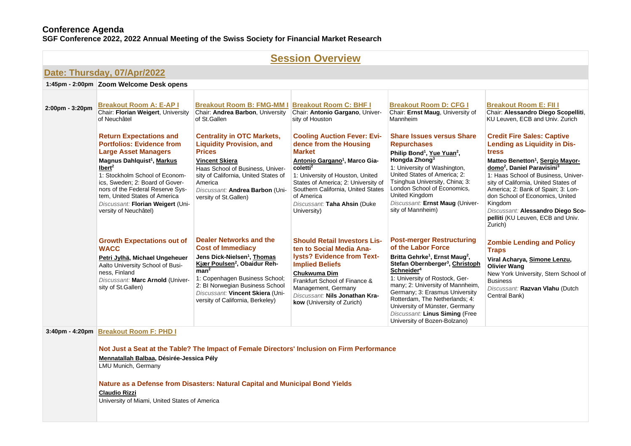### **Conference Agenda**

**SGF Conference 2022, 2022 Annual Meeting of the Swiss Society for Financial Market Research** 

# **Session [Overview](https://www.conftool.net/sgf2022/index.php?page=browseSessions&presentations=show)**

|                                                                                                                                                                                                                                                                                           | Date: Thursday, 07/Apr/2022                                                                                                                                                                                                                                                                                                                                              |                                                                                                                                                                                                                                                                                                             |                                                                                                                                                                                                                                                                                                                                  |                                                                                                                                                                                                                                                                                                                                                                                                                                         |                                                                                                                                                                                                                                                                                                                                                                                                                                                 |
|-------------------------------------------------------------------------------------------------------------------------------------------------------------------------------------------------------------------------------------------------------------------------------------------|--------------------------------------------------------------------------------------------------------------------------------------------------------------------------------------------------------------------------------------------------------------------------------------------------------------------------------------------------------------------------|-------------------------------------------------------------------------------------------------------------------------------------------------------------------------------------------------------------------------------------------------------------------------------------------------------------|----------------------------------------------------------------------------------------------------------------------------------------------------------------------------------------------------------------------------------------------------------------------------------------------------------------------------------|-----------------------------------------------------------------------------------------------------------------------------------------------------------------------------------------------------------------------------------------------------------------------------------------------------------------------------------------------------------------------------------------------------------------------------------------|-------------------------------------------------------------------------------------------------------------------------------------------------------------------------------------------------------------------------------------------------------------------------------------------------------------------------------------------------------------------------------------------------------------------------------------------------|
|                                                                                                                                                                                                                                                                                           | 1:45pm - 2:00pm Zoom Welcome Desk opens                                                                                                                                                                                                                                                                                                                                  |                                                                                                                                                                                                                                                                                                             |                                                                                                                                                                                                                                                                                                                                  |                                                                                                                                                                                                                                                                                                                                                                                                                                         |                                                                                                                                                                                                                                                                                                                                                                                                                                                 |
| 2:00pm - 3:20pm                                                                                                                                                                                                                                                                           | <b>Breakout Room A: E-AP I</b><br>Chair: Florian Weigert, University<br>of Neuchâtel                                                                                                                                                                                                                                                                                     | <b>Breakout Room B: FMG-MM I</b><br>Chair: Andrea Barbon, University<br>of St.Gallen                                                                                                                                                                                                                        | <b>Breakout Room C: BHF I</b><br>Chair: Antonio Gargano, Univer-<br>sity of Houston                                                                                                                                                                                                                                              | <b>Breakout Room D: CFG I</b><br>Chair: Ernst Maug, University of<br>Mannheim                                                                                                                                                                                                                                                                                                                                                           | <b>Breakout Room E: FII I</b><br>Chair: Alessandro Diego Scopelliti,<br>KU Leuven, ECB and Univ. Zurich                                                                                                                                                                                                                                                                                                                                         |
|                                                                                                                                                                                                                                                                                           | <b>Return Expectations and</b><br><b>Portfolios: Evidence from</b><br><b>Large Asset Managers</b><br>Magnus Dahlquist <sup>1</sup> , Markus<br>Iber <sup>2</sup><br>1: Stockholm School of Econom-<br>ics, Sweden; 2: Board of Gover-<br>nors of the Federal Reserve Sys-<br>tem, United States of America<br>Discussant: Florian Weigert (Uni-<br>versity of Neuchâtel) | <b>Centrality in OTC Markets,</b><br><b>Liquidity Provision, and</b><br><b>Prices</b><br><b>Vincent Skiera</b><br>Haas School of Business, Univer-<br>sity of California, United States of<br>America<br>Discussant: Andrea Barbon (Uni-<br>versity of St.Gallen)                                           | <b>Cooling Auction Fever: Evi-</b><br>dence from the Housing<br><b>Market</b><br>Antonio Gargano <sup>1</sup> , Marco Gia-<br>coletti <sup>2</sup><br>1: University of Houston, United<br>States of America; 2: University of<br>Southern California, United States<br>of America<br>Discussant: Taha Ahsin (Duke<br>University) | <b>Share Issues versus Share</b><br><b>Repurchases</b><br>Philip Bond <sup>1</sup> , Yue Yuan <sup>2</sup> ,<br>Hongda Zhong <sup>3</sup><br>1: University of Washington,<br>United States of America; 2:<br>Tsinghua University, China; 3:<br>London School of Economics,<br>United Kingdom<br>Discussant: Ernst Maug (Univer-<br>sity of Mannheim)                                                                                    | <b>Credit Fire Sales: Captive</b><br><b>Lending as Liquidity in Dis-</b><br>tress<br>Matteo Benetton <sup>1</sup> , Sergio Mayor-<br>domo <sup>2</sup> , Daniel Paravisini <sup>3</sup><br>1: Haas School of Business, Univer-<br>sity of California, United States of<br>America; 2: Bank of Spain; 3: Lon-<br>don School of Economics, United<br>Kingdom<br>Discussant: Alessandro Diego Sco-<br>pelliti (KU Leuven, ECB and Univ.<br>Zurich) |
|                                                                                                                                                                                                                                                                                           | <b>Growth Expectations out of</b><br><b>WACC</b><br>Petri Jylhä, Michael Ungeheuer<br>Aalto University School of Busi-<br>ness, Finland<br>Discussant: Marc Arnold (Univer-<br>sity of St.Gallen)                                                                                                                                                                        | Dealer Networks and the<br><b>Cost of Immediacy</b><br>Jens Dick-Nielsen <sup>1</sup> , Thomas<br>Kjær Poulsen <sup>2</sup> , Obaidur Reh-<br>man <sup>2</sup><br>1: Copenhagen Business School;<br>2: BI Norwegian Business School<br>Discussant: Vincent Skiera (Uni-<br>versity of California, Berkeley) | <b>Should Retail Investors Lis-</b><br>ten to Social Media Ana-<br>lysts? Evidence from Text-<br><b>Implied Beliefs</b><br><b>Chukwuma Dim</b><br>Frankfurt School of Finance &<br>Management, Germany<br>Discussant: Nils Jonathan Kra-<br>kow (University of Zurich)                                                           | <b>Post-merger Restructuring</b><br>of the Labor Force<br>Britta Gehrke <sup>1</sup> , Ernst Maug <sup>2</sup> ,<br>Stefan Obernberger <sup>3</sup> , Christoph<br>Schneider <sup>4</sup><br>1: University of Rostock, Ger-<br>many; 2: University of Mannheim,<br>Germany; 3: Erasmus University<br>Rotterdam, The Netherlands; 4:<br>University of Münster, Germany<br>Discussant: Linus Siming (Free<br>University of Bozen-Bolzano) | <b>Zombie Lending and Policy</b><br><b>Traps</b><br>Viral Acharya, Simone Lenzu,<br><b>Olivier Wang</b><br>New York University, Stern School of<br><b>Business</b><br>Discussant: Razvan Vlahu (Dutch<br>Central Bank)                                                                                                                                                                                                                          |
| 3:40pm - 4:20pm Breakout Room F: PHD I<br>Not Just a Seat at the Table? The Impact of Female Directors' Inclusion on Firm Performance<br>Mennatallah Balbaa, Désirée-Jessica Pély<br>LMU Munich, Germany<br>Nature as a Defense from Disasters: Natural Capital and Municipal Bond Yields |                                                                                                                                                                                                                                                                                                                                                                          |                                                                                                                                                                                                                                                                                                             |                                                                                                                                                                                                                                                                                                                                  |                                                                                                                                                                                                                                                                                                                                                                                                                                         |                                                                                                                                                                                                                                                                                                                                                                                                                                                 |

University of Miami, United States of America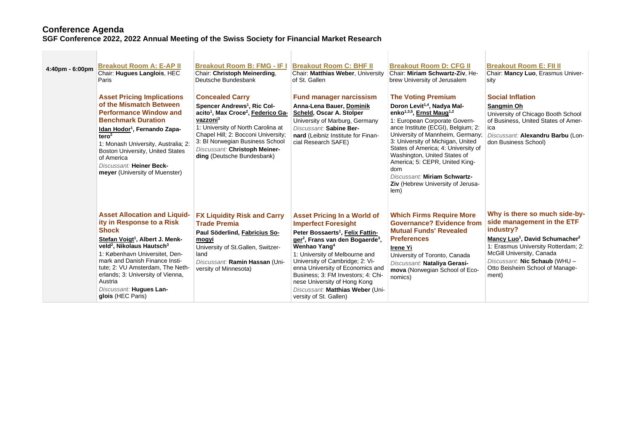## **Conference Agenda SGF Conference 2022, 2022 Annual Meeting of the Swiss Society for Financial Market Research**

| 4:40pm - 6:00pm | <b>Breakout Room A: E-AP II</b><br>Chair: Hugues Langlois, HEC<br>Paris<br><b>Asset Pricing Implications</b><br>of the Mismatch Between<br><b>Performance Window and</b><br><b>Benchmark Duration</b><br>Idan Hodor <sup>1</sup> , Fernando Zapa-<br>tero <sup>2</sup><br>1: Monash University, Australia; 2:<br>Boston University, United States<br>of America<br>Discussant: Heiner Beck-<br>meyer (University of Muenster) | <b>Breakout Room B: FMG - IF I</b><br>Chair: Christoph Meinerding,<br>Deutsche Bundesbank<br><b>Concealed Carry</b><br>Spencer Andrews <sup>1</sup> , Ric Col-<br>acito <sup>1</sup> , Max Croce <sup>2</sup> , Federico Ga-<br>vazzoni <sup>3</sup><br>1: University of North Carolina at<br>Chapel Hill; 2: Bocconi University;<br>3: BI Norwegian Business School<br>Discussant: Christoph Meiner-<br>ding (Deutsche Bundesbank) | <b>Breakout Room C: BHF II</b><br>Chair: Matthias Weber, University<br>of St. Gallen<br><b>Fund manager narcissism</b><br>Anna-Lena Bauer, Dominik<br>Scheld, Oscar A. Stolper<br>University of Marburg, Germany<br>Discussant: Sabine Ber-<br>nard (Leibniz Institute for Finan-<br>cial Research SAFE)                                                                                                                                              | <b>Breakout Room D: CFG II</b><br>Chair: Miriam Schwartz-Ziv, He-<br>brew University of Jerusalem<br><b>The Voting Premium</b><br>Doron Levit <sup>1,4</sup> , Nadya Mal-<br>enko <sup>1,3,5</sup> , Ernst Maug <sup>1,2</sup><br>1: European Corporate Govern-<br>ance Institute (ECGI), Belgium; 2:<br>University of Mannheim, Germany;<br>3: University of Michigan, United<br>States of America; 4: University of<br>Washington, United States of<br>America; 5: CEPR, United King-<br>dom<br>Discussant: Miriam Schwartz-<br>Ziv (Hebrew University of Jerusa-<br>lem) | <b>Breakout Room E: FII II</b><br>Chair: Mancy Luo, Erasmus Univer-<br>sity<br><b>Social Inflation</b><br>Sangmin Oh<br>University of Chicago Booth School<br>of Business, United States of Amer-<br>ica<br>Discussant: Alexandru Barbu (Lon-<br>don Business School)               |
|-----------------|-------------------------------------------------------------------------------------------------------------------------------------------------------------------------------------------------------------------------------------------------------------------------------------------------------------------------------------------------------------------------------------------------------------------------------|-------------------------------------------------------------------------------------------------------------------------------------------------------------------------------------------------------------------------------------------------------------------------------------------------------------------------------------------------------------------------------------------------------------------------------------|-------------------------------------------------------------------------------------------------------------------------------------------------------------------------------------------------------------------------------------------------------------------------------------------------------------------------------------------------------------------------------------------------------------------------------------------------------|-----------------------------------------------------------------------------------------------------------------------------------------------------------------------------------------------------------------------------------------------------------------------------------------------------------------------------------------------------------------------------------------------------------------------------------------------------------------------------------------------------------------------------------------------------------------------------|-------------------------------------------------------------------------------------------------------------------------------------------------------------------------------------------------------------------------------------------------------------------------------------|
|                 | <b>Asset Allocation and Liquid-</b><br>ity in Response to a Risk<br><b>Shock</b><br>Stefan Voigt <sup>1</sup> , Albert J. Menk-<br>veld <sup>2</sup> , Nikolaus Hautsch <sup>3</sup><br>1: København Universitet, Den-<br>mark and Danish Finance Insti-<br>tute; 2: VU Amsterdam, The Neth-<br>erlands; 3: University of Vienna,<br>Austria<br>Discussant: Hugues Lan-<br>glois (HEC Paris)                                  | <b>FX Liquidity Risk and Carry</b><br><b>Trade Premia</b><br>Paul Söderlind, Fabricius So-<br>mogyi<br>University of St.Gallen, Switzer-<br>land<br>Discussant: Ramin Hassan (Uni-<br>versity of Minnesota)                                                                                                                                                                                                                         | <b>Asset Pricing In a World of</b><br><b>Imperfect Foresight</b><br>Peter Bossaerts <sup>1</sup> , Felix Fattin-<br>ger <sup>2</sup> , Frans van den Bogaerde <sup>3</sup> ,<br>Wenhao Yang <sup>4</sup><br>1: University of Melbourne and<br>University of Cambridge; 2: Vi-<br>enna University of Economics and<br>Business: 3: FM Investors: 4: Chi-<br>nese University of Hong Kong<br>Discussant: Matthias Weber (Uni-<br>versity of St. Gallen) | <b>Which Firms Require More</b><br><b>Governance? Evidence from</b><br><b>Mutual Funds' Revealed</b><br><b>Preferences</b><br><b>Irene Yi</b><br>University of Toronto, Canada<br>Discussant: Nataliya Gerasi-<br>mova (Norwegian School of Eco-<br>nomics)                                                                                                                                                                                                                                                                                                                 | Why is there so much side-by-<br>side management in the ETF<br>industry?<br>Mancy Luo <sup>1</sup> , David Schumacher <sup>2</sup><br>1: Erasmus University Rotterdam; 2:<br>McGill University, Canada<br>Discussant: Nic Schaub (WHU -<br>Otto Beisheim School of Manage-<br>ment) |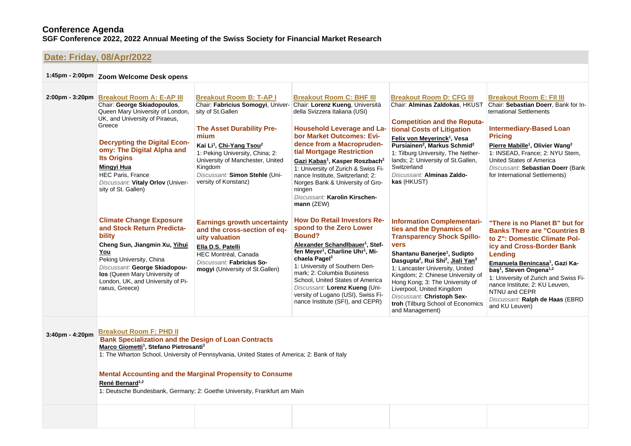# **Date: Friday, [08/Apr/2022](https://www.conftool.net/sgf2022/index.php?page=browseSessions&form_date=2022-04-08&presentations=show)**

|                 | 1:45pm - 2:00pm Zoom Welcome Desk opens                                                                                                                                                                                                                                                                                                                   |                                                                                                                                                                                                                                                                                                                                      |                                                                                                                                                                                                                                                                                                                                                                                                                                                                   |                                                                                                                                                                                                                                                                                                                                                                                                                                                                      |                                                                                                                                                                                                                                                                                                                                                                                                 |  |
|-----------------|-----------------------------------------------------------------------------------------------------------------------------------------------------------------------------------------------------------------------------------------------------------------------------------------------------------------------------------------------------------|--------------------------------------------------------------------------------------------------------------------------------------------------------------------------------------------------------------------------------------------------------------------------------------------------------------------------------------|-------------------------------------------------------------------------------------------------------------------------------------------------------------------------------------------------------------------------------------------------------------------------------------------------------------------------------------------------------------------------------------------------------------------------------------------------------------------|----------------------------------------------------------------------------------------------------------------------------------------------------------------------------------------------------------------------------------------------------------------------------------------------------------------------------------------------------------------------------------------------------------------------------------------------------------------------|-------------------------------------------------------------------------------------------------------------------------------------------------------------------------------------------------------------------------------------------------------------------------------------------------------------------------------------------------------------------------------------------------|--|
|                 | 2:00pm - 3:20pm Breakout Room A: E-AP III<br>Chair: George Skiadopoulos,<br>Queen Mary University of London,<br>UK, and University of Piraeus,<br>Greece<br><b>Decrypting the Digital Econ-</b><br>omy: The Digital Alpha and<br><b>Its Origins</b><br>Mingyi Hua<br><b>HEC Paris, France</b><br>Discussant: Vitaly Orlov (Univer-<br>sity of St. Gallen) | <b>Breakout Room B: T-AP I</b><br>Chair: Fabricius Somogyi, Univer-<br>sity of St.Gallen<br><b>The Asset Durability Pre-</b><br>mium<br>Kai Li <sup>1</sup> , Chi-Yang Tsou <sup>2</sup><br>1: Peking University, China; 2:<br>University of Manchester, United<br>Kingdom<br>Discussant: Simon Stehle (Uni-<br>versity of Konstanz) | <b>Breakout Room C: BHF III</b><br>Chair: Lorenz Kueng, Università<br>della Svizzera Italiana (USI)<br><b>Household Leverage and La-</b><br>bor Market Outcomes: Evi-<br>dence from a Macropruden-<br>tial Mortgage Restriction<br>Gazi Kabas <sup>1</sup> , Kasper Roszbach <sup>2</sup><br>1: University of Zurich & Swiss Fi-<br>nance Institute, Switzerland; 2:<br>Norges Bank & University of Gro-<br>ningen<br>Discussant: Karolin Kirschen-<br>mann (ZEW) | <b>Breakout Room D: CFG III</b><br>Chair: Alminas Zaldokas, HKUST<br><b>Competition and the Reputa-</b><br>tional Costs of Litigation<br>Felix von Meyerinck <sup>1</sup> , Vesa<br>Pursiainen <sup>2</sup> , Markus Schmid <sup>2</sup><br>1: Tilburg University, The Nether-<br>lands; 2: University of St.Gallen,<br>Switzerland<br>Discussant: Alminas Zaldo-<br>kas (HKUST)                                                                                     | <b>Breakout Room E: FII III</b><br>Chair: Sebastian Doerr, Bank for In-<br>ternational Settlements<br><b>Intermediary-Based Loan</b><br><b>Pricing</b><br>Pierre Mabille <sup>1</sup> , Olivier Wang <sup>2</sup><br>1: INSEAD, France: 2: NYU Stern.<br><b>United States of America</b><br>Discussant: Sebastian Doerr (Bank<br>for International Settlements)                                 |  |
|                 | <b>Climate Change Exposure</b><br>and Stock Return Predicta-<br>bility<br>Cheng Sun, Jiangmin Xu, Yihui<br>You<br>Peking University, China<br>Discussant: George Skiadopou-<br>los (Queen Mary University of<br>London, UK, and University of Pi-<br>raeus, Greece)                                                                                       | <b>Earnings growth uncertainty</b><br>and the cross-section of eq-<br>uity valuation<br>Ella D.S. Patelli<br>HEC Montréal, Canada<br>Discussant: Fabricius So-<br>mogyi (University of St.Gallen)                                                                                                                                    | <b>How Do Retail Investors Re-</b><br>spond to the Zero Lower<br>Bound?<br>Alexander Schandlbauer <sup>1</sup> , Stef-<br>fen Meyer <sup>1</sup> , Charline Uhr <sup>1</sup> , Mi-<br>chaela Pagel <sup>2</sup><br>1: University of Southern Den-<br>mark; 2: Columbia Business<br>School, United States of America<br>Discussant: Lorenz Kueng (Uni-<br>versity of Lugano (USI), Swiss Fi-<br>nance Institute (SFI), and CEPR)                                   | <b>Information Complementari-</b><br>ties and the Dynamics of<br><b>Transparency Shock Spillo-</b><br><b>vers</b><br>Shantanu Banerjee <sup>1</sup> , Sudipto<br>Dasgupta <sup>2</sup> , Rui Shi <sup>2</sup> , Jiali Yan <sup>3</sup><br>1: Lancaster University, United<br>Kingdom; 2: Chinese University of<br>Hong Kong; 3: The University of<br>Liverpool, United Kingdom<br>Discussant: Christoph Sex-<br>troh (Tilburg School of Economics<br>and Management) | "There is no Planet B" but for<br><b>Banks There are "Countries B</b><br>to Z": Domestic Climate Pol-<br>icy and Cross-Border Bank<br>Lending<br>Emanuela Benincasa <sup>1</sup> , Gazi Ka-<br>bas <sup>1</sup> , Steven Ongena <sup>1,2</sup><br>1: University of Zurich and Swiss Fi-<br>nance Institute; 2: KU Leuven,<br>NTNU and CEPR<br>Discussant: Ralph de Haas (EBRD<br>and KU Leuven) |  |
| 3:40pm - 4:20pm | <b>Breakout Room F: PHD II</b><br><b>Bank Specialization and the Design of Loan Contracts</b><br>Marco Giometti <sup>1</sup> , Stefano Pietrosanti <sup>2</sup>                                                                                                                                                                                           | 1: The Wharton School, University of Pennsylvania, United States of America; 2: Bank of Italy                                                                                                                                                                                                                                        |                                                                                                                                                                                                                                                                                                                                                                                                                                                                   |                                                                                                                                                                                                                                                                                                                                                                                                                                                                      |                                                                                                                                                                                                                                                                                                                                                                                                 |  |

**Mental Accounting and the Marginal Propensity to Consume René Bernard1,2**

1: Deutsche Bundesbank, Germany; 2: Goethe University, Frankfurt am Main